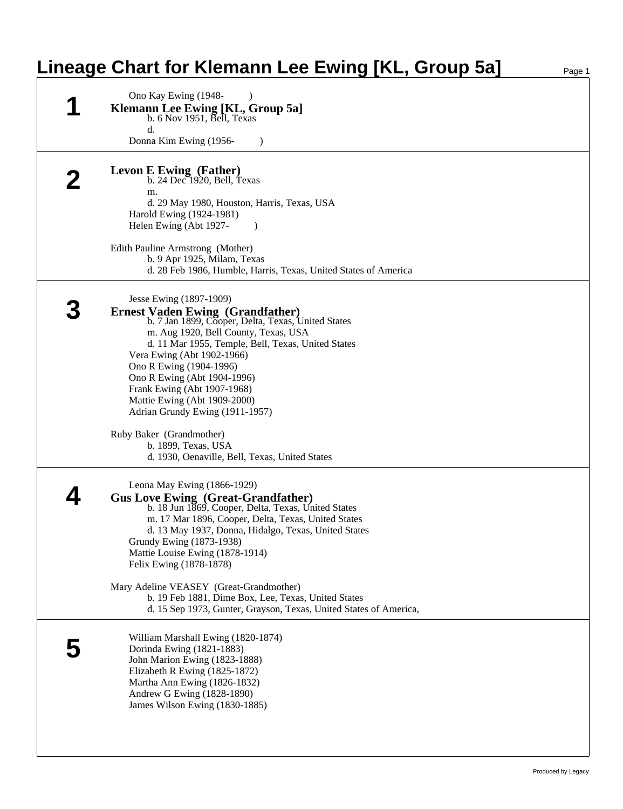## **Lineage Chart for Klemann Lee Ewing [KL, Group 5a]**

| Ono Kay Ewing (1948-                                                                                                     |
|--------------------------------------------------------------------------------------------------------------------------|
| <b>Klemann Lee Ewing [KL, Group 5a]</b><br>b. 6 Nov 1951, Bell, Texas                                                    |
| d.                                                                                                                       |
| Donna Kim Ewing (1956-<br>$\lambda$                                                                                      |
|                                                                                                                          |
| <b>Levon E Ewing (Father)</b>                                                                                            |
| b. $24$ Dec $1920$ , Bell, Texas                                                                                         |
| m.                                                                                                                       |
| d. 29 May 1980, Houston, Harris, Texas, USA                                                                              |
| Harold Ewing (1924-1981)                                                                                                 |
| Helen Ewing (Abt 1927-                                                                                                   |
| Edith Pauline Armstrong (Mother)                                                                                         |
| b. 9 Apr 1925, Milam, Texas                                                                                              |
| d. 28 Feb 1986, Humble, Harris, Texas, United States of America                                                          |
|                                                                                                                          |
| Jesse Ewing (1897-1909)                                                                                                  |
| <b>Ernest Vaden Ewing (Grandfather)</b>                                                                                  |
| b. 7 Jan 1899, Cooper, Delta, Texas, United States                                                                       |
| m. Aug 1920, Bell County, Texas, USA                                                                                     |
| d. 11 Mar 1955, Temple, Bell, Texas, United States<br>Vera Ewing (Abt 1902-1966)                                         |
| Ono R Ewing (1904-1996)                                                                                                  |
| Ono R Ewing (Abt 1904-1996)                                                                                              |
| Frank Ewing (Abt 1907-1968)                                                                                              |
| Mattie Ewing (Abt 1909-2000)                                                                                             |
| Adrian Grundy Ewing (1911-1957)                                                                                          |
| Ruby Baker (Grandmother)                                                                                                 |
| b. 1899, Texas, USA                                                                                                      |
| d. 1930, Oenaville, Bell, Texas, United States                                                                           |
|                                                                                                                          |
| Leona May Ewing (1866-1929)                                                                                              |
| <b>Gus Love Ewing (Great-Grandfather)</b>                                                                                |
| b. 18 Jun 1869, Cooper, Delta, Texas, United States                                                                      |
| m. 17 Mar 1896, Cooper, Delta, Texas, United States<br>d. 13 May 1937, Donna, Hidalgo, Texas, United States              |
| Grundy Ewing (1873-1938)                                                                                                 |
| Mattie Louise Ewing (1878-1914)                                                                                          |
| Felix Ewing (1878-1878)                                                                                                  |
|                                                                                                                          |
| Mary Adeline VEASEY (Great-Grandmother)                                                                                  |
| b. 19 Feb 1881, Dime Box, Lee, Texas, United States<br>d. 15 Sep 1973, Gunter, Grayson, Texas, United States of America, |
|                                                                                                                          |
| William Marshall Ewing (1820-1874)                                                                                       |
| Dorinda Ewing (1821-1883)                                                                                                |
| John Marion Ewing (1823-1888)                                                                                            |
| Elizabeth R Ewing (1825-1872)                                                                                            |
| Martha Ann Ewing (1826-1832)                                                                                             |
| Andrew G Ewing (1828-1890)                                                                                               |
| James Wilson Ewing (1830-1885)                                                                                           |
|                                                                                                                          |
|                                                                                                                          |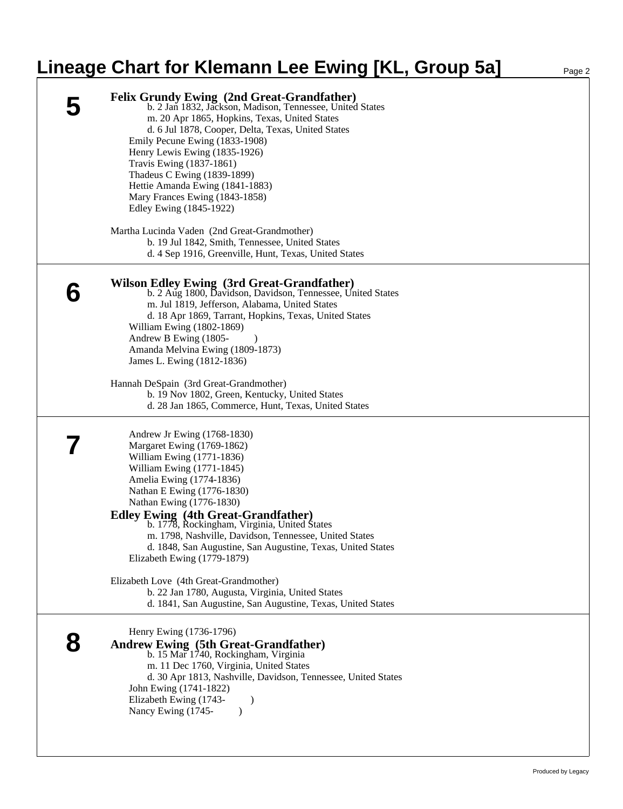## **Lineage Chart for Klemann Lee Ewing [KL, Group 5a]** Page 2

|   | <b>Felix Grundy Ewing (2nd Great-Grandfather)</b><br>b. 2 Jan 1832, Jackson, Madison, Tennessee, United States<br>m. 20 Apr 1865, Hopkins, Texas, United States<br>d. 6 Jul 1878, Cooper, Delta, Texas, United States<br>Emily Pecune Ewing (1833-1908)<br>Henry Lewis Ewing (1835-1926)<br>Travis Ewing (1837-1861)<br>Thadeus C Ewing (1839-1899)<br>Hettie Amanda Ewing (1841-1883)<br>Mary Frances Ewing (1843-1858)<br>Edley Ewing (1845-1922)<br>Martha Lucinda Vaden (2nd Great-Grandmother)<br>b. 19 Jul 1842, Smith, Tennessee, United States<br>d. 4 Sep 1916, Greenville, Hunt, Texas, United States |
|---|-----------------------------------------------------------------------------------------------------------------------------------------------------------------------------------------------------------------------------------------------------------------------------------------------------------------------------------------------------------------------------------------------------------------------------------------------------------------------------------------------------------------------------------------------------------------------------------------------------------------|
| Ő | <b>Wilson Edley Ewing (3rd Great-Grandfather)</b><br>b. 2 Aug 1800, Davidson, Davidson, Tennessee, United States<br>m. Jul 1819, Jefferson, Alabama, United States<br>d. 18 Apr 1869, Tarrant, Hopkins, Texas, United States<br>William Ewing (1802-1869)<br>Andrew B Ewing (1805-<br>Amanda Melvina Ewing (1809-1873)<br>James L. Ewing (1812-1836)<br>Hannah DeSpain (3rd Great-Grandmother)                                                                                                                                                                                                                  |
|   | b. 19 Nov 1802, Green, Kentucky, United States<br>d. 28 Jan 1865, Commerce, Hunt, Texas, United States<br>Andrew Jr Ewing (1768-1830)<br>Margaret Ewing (1769-1862)                                                                                                                                                                                                                                                                                                                                                                                                                                             |
|   | William Ewing (1771-1836)<br>William Ewing (1771-1845)<br>Amelia Ewing (1774-1836)<br>Nathan E Ewing (1776-1830)<br>Nathan Ewing (1776-1830)<br><b>Edley Ewing (4th Great-Grandfather)</b><br>b. 1778, Rockingham, Virginia, United States<br>m. 1798, Nashville, Davidson, Tennessee, United States<br>d. 1848, San Augustine, San Augustine, Texas, United States<br>Elizabeth Ewing (1779-1879)                                                                                                                                                                                                              |
|   | Elizabeth Love (4th Great-Grandmother)<br>b. 22 Jan 1780, Augusta, Virginia, United States<br>d. 1841, San Augustine, San Augustine, Texas, United States                                                                                                                                                                                                                                                                                                                                                                                                                                                       |
|   | Henry Ewing (1736-1796)<br><b>Andrew Ewing (5th Great-Grandfather)</b><br>b. 15 Mar 1740, Rockingham, Virginia<br>m. 11 Dec 1760, Virginia, United States<br>d. 30 Apr 1813, Nashville, Davidson, Tennessee, United States<br>John Ewing (1741-1822)<br>Elizabeth Ewing (1743-<br>Nancy Ewing (1745-<br>$\lambda$                                                                                                                                                                                                                                                                                               |